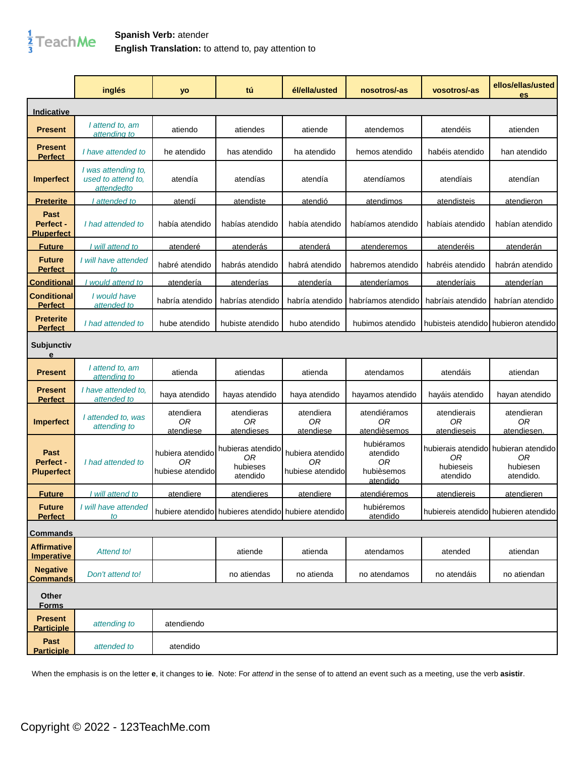

## **Spanish Verb:** atender **English Translation:** to attend to, pay attention to

|                                         | inglés                                                   | yo                                          | tú                                                  | él/ella/usted                              | nosotros/-as                                           | vosotros/-as                     | ellos/ellas/usted<br>es                                              |
|-----------------------------------------|----------------------------------------------------------|---------------------------------------------|-----------------------------------------------------|--------------------------------------------|--------------------------------------------------------|----------------------------------|----------------------------------------------------------------------|
| Indicative                              |                                                          |                                             |                                                     |                                            |                                                        |                                  |                                                                      |
| <b>Present</b>                          | I attend to, am<br>attending to                          | atiendo                                     | atiendes                                            | atiende                                    | atendemos                                              | atendéis                         | atienden                                                             |
| Present<br><b>Perfect</b>               | I have attended to                                       | he atendido                                 | has atendido                                        | ha atendido                                | hemos atendido                                         | habéis atendido                  | han atendido                                                         |
| <b>Imperfect</b>                        | I was attending to,<br>used to attend to,<br>attended to | atendía                                     | atendías                                            | atendía                                    | atendíamos                                             | atendíais                        | atendían                                                             |
| <u>Preterite</u>                        | attended to                                              | atendí                                      | atendiste                                           | atendió                                    | atendimos                                              | atendisteis                      | atendieron                                                           |
| Past<br>Perfect -<br><b>Pluperfect</b>  | I had attended to                                        | había atendido                              | habías atendido                                     | había atendido                             | habíamos atendido                                      | habíais atendido                 | habían atendido                                                      |
| <b>Future</b>                           | I will attend to                                         | atenderé                                    | atenderás                                           | <b>atenderá</b>                            | atenderemos                                            | <u>atenderéis</u>                | <u>atenderán</u>                                                     |
| <b>Future</b><br><b>Perfect</b>         | I will have attended<br>to                               | habré atendido                              | habrás atendido                                     | habrá atendido                             | habremos atendido                                      | habréis atendido                 | habrán atendido                                                      |
| <b>Conditional</b>                      | would attend to                                          | <u>atendería</u>                            | atenderías                                          | atendería                                  | atenderíamos                                           | atenderíais                      | atenderían                                                           |
| <b>Conditional</b><br><b>Perfect</b>    | I would have<br>attended to                              | habría atendido                             | habrías atendido                                    | habría atendido                            | habríamos atendido                                     | habríais atendido                | habrían atendido                                                     |
| <b>Preterite</b><br><b>Perfect</b>      | I had attended to                                        | hube atendido                               | hubiste atendido                                    | hubo atendido                              | hubimos atendido                                       |                                  | hubisteis atendido hubieron atendido                                 |
| Subjunctiv<br>e                         |                                                          |                                             |                                                     |                                            |                                                        |                                  |                                                                      |
| <b>Present</b>                          | I attend to, am<br>attending to                          | atienda                                     | atiendas                                            | atienda                                    | atendamos                                              | atendáis                         | atiendan                                                             |
| <b>Present</b><br><b>Perfect</b>        | I have attended to,<br>attended to                       | haya atendido                               | hayas atendido                                      | haya atendido                              | hayamos atendido                                       | hayáis atendido                  | hayan atendido                                                       |
| <b>Imperfect</b>                        | I attended to, was<br>attending to                       | atendiera<br>0R<br>atendiese                | atendieras<br>0R<br>atendieses                      | atendiera<br>0R<br>atendiese               | atendiéramos<br>ΟR<br>atendièsemos                     | atendierais<br>0R<br>atendieseis | atendieran<br>0R<br>atendiesen.                                      |
| Past<br>Perfect -<br><b>Pluperfect</b>  | I had attended to                                        | hubiera atendido<br>0R<br>hubiese atendidol | hubieras atendido<br>0R<br>hubieses<br>atendido     | hubiera atendido<br>0R<br>hubiese atendido | hubiéramos<br>atendido<br>0R<br>hubièsemos<br>atendido | 0R<br>hubieseis<br>atendido      | hubierais atendidol hubieran atendido<br>0R<br>hubiesen<br>atendido. |
| <u>Future</u>                           | I will attend to                                         | atendiere                                   | atendieres                                          | atendiere                                  | atendiéremos                                           | atendiereis                      | atendieren                                                           |
| <b>Future</b><br><b>Perfect</b>         | I will have attended<br>to                               |                                             | hubiere atendido hubieres atendido hubiere atendido |                                            | hubiéremos<br>atendido                                 |                                  | hubiereis atendido hubieren atendido                                 |
| <b>Commands</b>                         |                                                          |                                             |                                                     |                                            |                                                        |                                  |                                                                      |
| <b>Affirmative</b><br><b>Imperative</b> | Attend to!                                               |                                             | atiende                                             | atienda                                    | atendamos                                              | atended                          | atiendan                                                             |
| <b>Negative</b><br><b>Commands</b>      | Don't attend to!                                         |                                             | no atiendas                                         | no atienda                                 | no atendamos                                           | no atendáis                      | no atiendan                                                          |
| Other<br><b>Forms</b>                   |                                                          |                                             |                                                     |                                            |                                                        |                                  |                                                                      |
| <b>Present</b><br><b>Participle</b>     | attending to                                             | atendiendo                                  |                                                     |                                            |                                                        |                                  |                                                                      |
| Past<br><b>Participle</b>               | attended to                                              | atendido                                    |                                                     |                                            |                                                        |                                  |                                                                      |

When the emphasis is on the letter **e**, it changes to **ie**. Note: For attend in the sense of to attend an event such as a meeting, use the verb **asistir**.